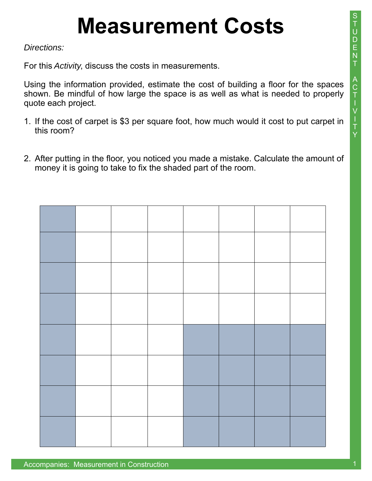*Directions:* 

For this *Activity*, discuss the costs in measurements.

Using the information provided, estimate the cost of building a floor for the spaces shown. Be mindful of how large the space is as well as what is needed to properly quote each project.

- 1. If the cost of carpet is \$3 per square foot, how much would it cost to put carpet in this room?
- 2. After putting in the floor, you noticed you made a mistake. Calculate the amount of money it is going to take to fix the shaded part of the room.

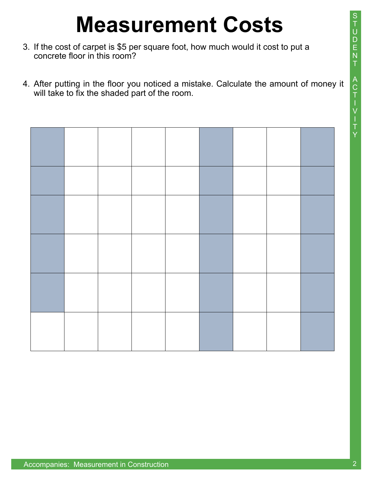- 3. If the cost of carpet is \$5 per square foot, how much would it cost to put a concrete floor in this room?
- 4. After putting in the floor you noticed a mistake. Calculate the amount of money it will take to fix the shaded part of the room.

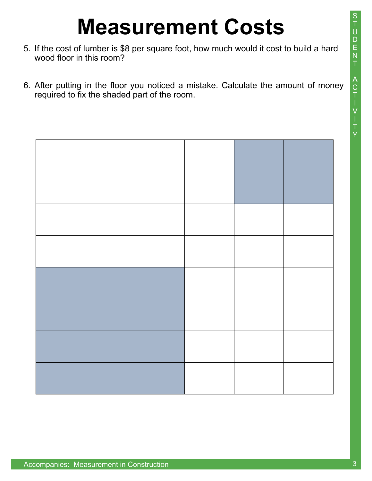- 5. If the cost of lumber is \$8 per square foot, how much would it cost to build a hard wood floor in this room?
- 6. After putting in the floor you noticed a mistake. Calculate the amount of money required to fix the shaded part of the room.